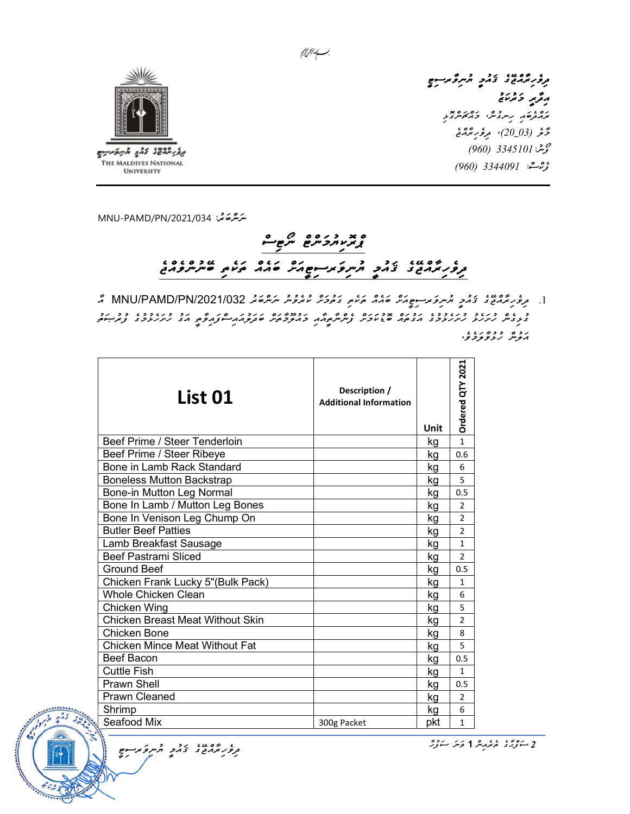

و و ده ده ده ده و مرو استان رۇپر دىرىنى ده ده ده ده ده<br>پروتوڅو، رسروس، ووړځسرونو دَّغْر (03\_20)، مِرغُ سِتَّرْمَنَّى گۈشن<sup>:</sup> 3345101 (960) ۇرىمىشة: 3344091 (960)

ﯩ*ﯩﺰﯨ*ﯘﻏﯘ; 0341/034 MNU-PAMD/PN

## ס אי אי אי היום היום בין ו שפשו גל התפתחות את פור באת שיר בנופת

.1 ދިވެހިރާއްޖޭގެ ޤައުމީ ޔުނިވަރސިޓީއަށް ބައެއް ތަކެތި ގަތުމަށް ކުރެވުނު ނަންބަރު /2021/032PN/PAMD/MNU އާ ގުޅިގެން ހުށަހެޅު ހުށަހެޅުމުގެ އަގުތައް ބޮޑުކަމަށް ފެންނާތީއާއި މައުލޫމާތަށް ބަދަލުއައިސްފައިވާތީ އަގު ހުށަހެޅުމުގެ ފުރުޞަތު رده دور،<br>پروتر روووژو.

| List 01                               | Description /<br><b>Additional Information</b> | Unit | Ordered QTY 2021 |
|---------------------------------------|------------------------------------------------|------|------------------|
| Beef Prime / Steer Tenderloin         |                                                | kg   | $\mathbf{1}$     |
| Beef Prime / Steer Ribeye             |                                                | kg   | 0.6              |
| Bone in Lamb Rack Standard            |                                                | kg   | 6                |
| <b>Boneless Mutton Backstrap</b>      |                                                | kg   | 5                |
| Bone-in Mutton Leg Normal             |                                                | ka   | 0.5              |
| Bone In Lamb / Mutton Leg Bones       |                                                | kg   | $\overline{2}$   |
| Bone In Venison Leg Chump On          |                                                | kg   | $\overline{2}$   |
| <b>Butler Beef Patties</b>            |                                                | kg   | $\mathfrak{p}$   |
| Lamb Breakfast Sausage                |                                                | kg   | $\mathbf{1}$     |
| <b>Beef Pastrami Sliced</b>           |                                                | kg   | $\mathcal{P}$    |
| Ground Beef                           |                                                | kg   | 0.5              |
| Chicken Frank Lucky 5"(Bulk Pack)     |                                                | kg   | $\mathbf{1}$     |
| <b>Whole Chicken Clean</b>            |                                                | kg   | 6                |
| <b>Chicken Wing</b>                   |                                                | kg   | 5                |
| Chicken Breast Meat Without Skin      |                                                | kg   | $\mathcal{P}$    |
| Chicken Bone                          |                                                | kg   | 8                |
| <b>Chicken Mince Meat Without Fat</b> |                                                | kg   | 5                |
| Beef Bacon                            |                                                | kg   | 0.5              |
| <b>Cuttle Fish</b>                    |                                                | kg   | $\mathbf{1}$     |
| <b>Prawn Shell</b>                    |                                                | kg   | 0.5              |
| <b>Prawn Cleaned</b>                  |                                                | kg   | $\mathcal{P}$    |
| Shrimp                                |                                                | kg   | 6                |
| Seafood Mix                           | 300g Packet                                    | pkt  | $\mathbf{1}$     |

ے دورہے کے دورہ کا انتظام کا انتظام کرتا ہے۔<br>مرد کرنے میڈیر سے انتظام کا انتظام کرنے کے انتظام کرنے کے انتظام کرنے کے انتظام کرنے کے انتظام کرنے کے انتظام<br>مرد کرنے کے انتظام کرنے کے انتظام کرنے کے انتظام کرنے کے انتظام کر

بسسا الزعرانجيم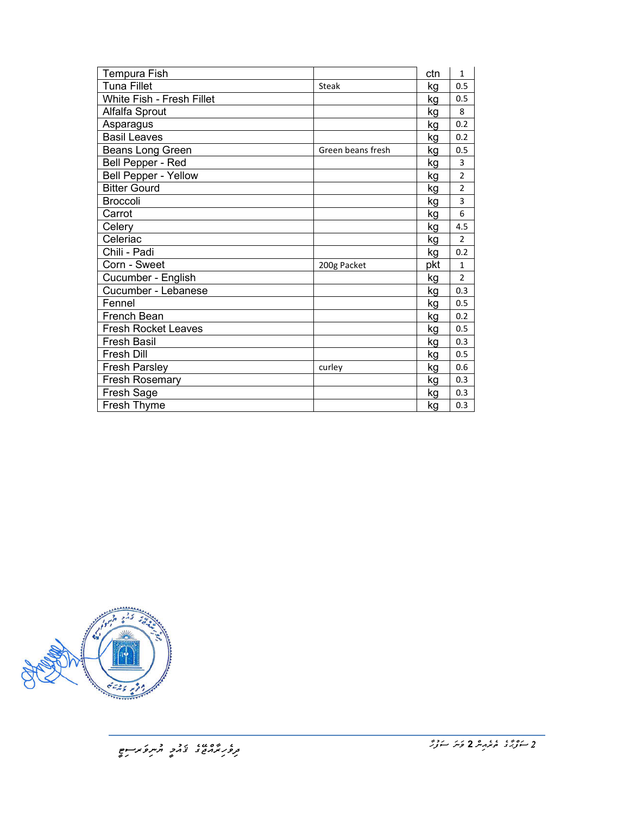| <b>Tempura Fish</b>         |                   | ctn | $\mathbf{1}$   |
|-----------------------------|-------------------|-----|----------------|
| <b>Tuna Fillet</b>          | <b>Steak</b>      | kg  | 0.5            |
| White Fish - Fresh Fillet   |                   | kg  | 0.5            |
| Alfalfa Sprout              |                   | kg  | 8              |
| Asparagus                   |                   | kg  | 0.2            |
| <b>Basil Leaves</b>         |                   | kg  | 0.2            |
| <b>Beans Long Green</b>     | Green beans fresh | kg  | 0.5            |
| Bell Pepper - Red           |                   | kg  | 3              |
| <b>Bell Pepper - Yellow</b> |                   | kg  | $\overline{2}$ |
| <b>Bitter Gourd</b>         |                   | kg  | $\overline{2}$ |
| <b>Broccoli</b>             |                   | kg  | 3              |
| Carrot                      |                   | kg  | 6              |
| Celery                      |                   | kg  | 4.5            |
| Celeriac                    |                   | kg  | $\overline{2}$ |
| Chili - Padi                |                   | kg  | 0.2            |
| Corn - Sweet                | 200g Packet       | pkt | $\mathbf{1}$   |
| Cucumber - English          |                   | kg  | $\mathfrak{p}$ |
| Cucumber - Lebanese         |                   | kg  | 0.3            |
| Fennel                      |                   | kg  | 0.5            |
| French Bean                 |                   | kg  | 0.2            |
| <b>Fresh Rocket Leaves</b>  |                   | kg  | 0.5            |
| <b>Fresh Basil</b>          |                   | kg  | 0.3            |
| Fresh Dill                  |                   | kg  | 0.5            |
| <b>Fresh Parsley</b>        | curley            | kg  | 0.6            |
| <b>Fresh Rosemary</b>       |                   | kg  | 0.3            |
| Fresh Sage                  |                   | kg  | 0.3            |
| Fresh Thyme                 |                   | kg  | 0.3            |

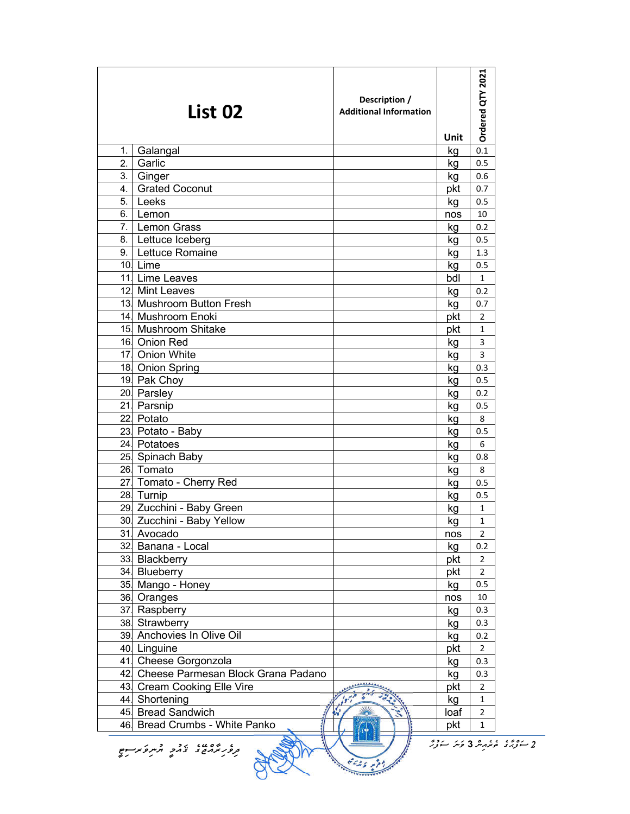| List 02                               | Description /<br><b>Additional Information</b> | Unit | Ordered QTY 2021 |                                |
|---------------------------------------|------------------------------------------------|------|------------------|--------------------------------|
| Galangal<br>1.                        |                                                | kg   | 0.1              |                                |
| 2. Garlic                             |                                                | kg   | 0.5              |                                |
| 3. Ginger                             |                                                | kg   | 0.6              |                                |
| 4. Grated Coconut                     |                                                | pkt  | 0.7              |                                |
| Leeks<br>5.                           |                                                | kg   | 0.5              |                                |
| 6.<br>Lemon                           |                                                | nos  | 10               |                                |
| 7. Lemon Grass                        |                                                | kg   | 0.2              |                                |
| 8. Lettuce Iceberg                    |                                                | kg   | 0.5              |                                |
| 9. Lettuce Romaine                    |                                                | kg   | 1.3              |                                |
| 10. Lime                              |                                                | kg   | 0.5              |                                |
| 11. Lime Leaves                       |                                                | bdl  | $\mathbf{1}$     |                                |
| 12. Mint Leaves                       |                                                | kg   | 0.2              |                                |
| 13 Mushroom Button Fresh              |                                                | kg   | 0.7              |                                |
| 14 Mushroom Enoki                     |                                                | pkt  | $\overline{2}$   |                                |
| 15 Mushroom Shitake                   |                                                | pkt  | $\mathbf{1}$     |                                |
| 16. Onion Red                         |                                                | kg   | 3                |                                |
| 17. Onion White                       |                                                | kg   | $\overline{3}$   |                                |
| 18 Onion Spring                       |                                                | kg   | 0.3              |                                |
| 19 Pak Choy                           |                                                | kg   | 0.5              |                                |
| 20 Parsley                            |                                                | kg   | 0.2              |                                |
| 21. Parsnip                           |                                                | kg   | 0.5              |                                |
| 22 Potato                             |                                                | kg   | 8                |                                |
| 23. Potato - Baby                     |                                                | kg   | 0.5              |                                |
| 24 Potatoes                           |                                                | kg   | 6                |                                |
| 25. Spinach Baby                      |                                                | kg   | 0.8              |                                |
| 26. Tomato                            |                                                | kg   | 8                |                                |
| 27 Tomato - Cherry Red                |                                                | kg   | 0.5              |                                |
| 28 Turnip                             |                                                | kg   | 0.5              |                                |
| 29 Zucchini - Baby Green              |                                                | kg   | $\mathbf{1}$     |                                |
| 30 Zucchini - Baby Yellow             |                                                | kg   | $\mathbf{1}$     |                                |
| 31. Avocado                           |                                                | nos  | $\overline{2}$   |                                |
| 32 Banana - Local                     |                                                | kg   | 0.2              |                                |
| 33. Blackberry                        |                                                | pkt  | 2                |                                |
| 34 Blueberry                          |                                                | pkt  | $\overline{2}$   |                                |
| 35. Mango - Honey                     |                                                | kg   | 0.5              |                                |
| 36. Oranges                           |                                                | nos  | 10               |                                |
| 37 Raspberry                          |                                                | kg   | 0.3              |                                |
| 38. Strawberry                        |                                                | kg   | 0.3              |                                |
| 39 Anchovies In Olive Oil             |                                                | kg   | 0.2              |                                |
| 40 Linguine                           |                                                | pkt  | $\overline{2}$   |                                |
| 41 Cheese Gorgonzola                  |                                                | kg   | 0.3              |                                |
| 42 Cheese Parmesan Block Grana Padano |                                                | kg   | 0.3              |                                |
| 43 Cream Cooking Elle Vire            |                                                | pkt  | $\overline{2}$   |                                |
| 44 Shortening                         |                                                | kg   | 1                |                                |
| 45 Bread Sandwich                     |                                                | loaf | $\overline{2}$   |                                |
| 46 Bread Crumbs - White Panko         |                                                | pkt  | $\mathbf{1}$     |                                |
| ، ده به در در در در در در د           |                                                |      |                  | 2 سۇپرى ھېرمەنلە 3 ئونىز سۇزگر |

ދިވެހިރާއްޖޭގެ ޤައުމީ ޔުނިވަރސިޓީ ސަފްޙާގެ ތެރެއިން <sup>3</sup> ވަނަ ސަފުހާ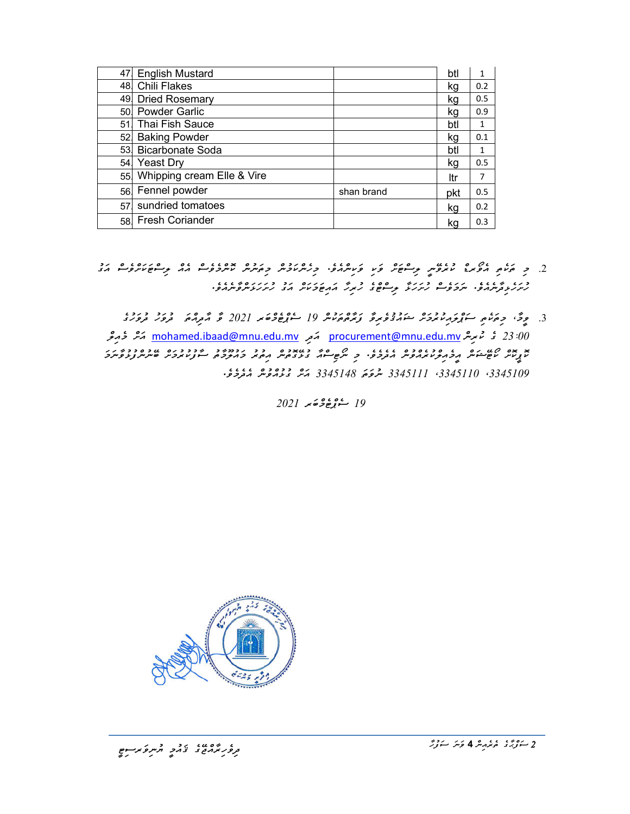|     | 47 English Mustard             | btl |     |
|-----|--------------------------------|-----|-----|
| 48. | <b>Chili Flakes</b>            | kg  | 0.2 |
| 49. | <b>Dried Rosemary</b>          | kg  | 0.5 |
|     | 50. Powder Garlic              | kq  | 0.9 |
| 51  | Thai Fish Sauce                | btl | 1   |
|     | 52 Baking Powder               | kg  | 0.1 |
|     | 53 Bicarbonate Soda            | btl | 1   |
| 54. | <b>Yeast Dry</b>               | kg  | 0.5 |
|     | 55. Whipping cream Elle & Vire | ltr | 7   |
|     | 56 Fennel powder<br>shan brand | pkt | 0.5 |
| 57  | sundried tomatoes              | kg  | 0.2 |
|     | 58 Fresh Coriander             | kq  | 0.3 |

- .<br>2. כ בניום, ונפינג יוונפית נייחסית פיו פיויונופי כניונית כביותו ויוונפים ונה נייחסיותפים הצ د د د ۱۶ نوع د ۱۶ مرکزی د ۱۶ مرکزی د ۲۵ د ۲۵ نوع د ۱۶ نوع د ۱۶ نوع د ۱۶ نوع د ۱۶ نوع د ۱۶ نوع د ۱۶ نوع د ۱۶ نو<br>رس د د بورس د ۱۶ نوع د ۱۶ نوع د ۱۶ نوع د ۱۶ نوع د ۱۶ نوع د ۱۶ نوع د ۱۶ نوع د ۱۶ نوع د ۱۶ نوع د ۱۶ نوع د ۱۶ نو
- .3 وِحٌ، حِمَّرْمِ ۡ ٱلۡرَّحۡ ِ ٱلۡرَّحۡمِ ٱلۡرَّحۡمِ ۚ وَٱلۡرَّحۡمَٰٓ وَٱلۡ ٱلۡرُّحۡمَٰتِ ٱلۡرَّحۡمِ ٱلۡرَّحۡ<br>3. وِحٌ، حِمَّرْمِ ٱلۡرَّحۡمِ ٱلۡرَّحۡمِ ٱلۡرَّحۡمِ ٱلۡرَّحۡمِ ٱلۡرَّحۡمَٰٓ وَٱلۡ ٱلۡرَّحۡمَٰتِ ٱلۡرَّحۡمَٰتِ 23:00 \$ غوږ <mark>mohamed.ibaad@mnu.edu.mv</mark> حمير procurement@mnu.edu.mv حَمَّد خَصِرَّة ކޮޕީކޮށް ކޯޓޭޝަން އީމެއިލްކުރެއްވުން އެދެމެވ.ެ މި ނޯޓިސްއާ ގުޅޭގޮތުން އިތުރު މައުލޫމާތު ސާފުކުރުމަށް ބޭނުންފުޅުވާނަމަ ،3345109 ،3345110 3345111 ނުވަތަ 3345148 އަށް ގުޅުއްވުން އެދެމެވ.ެ

 $2021$   $\div$  $9\frac{6}{3}$  $\div$   $19$